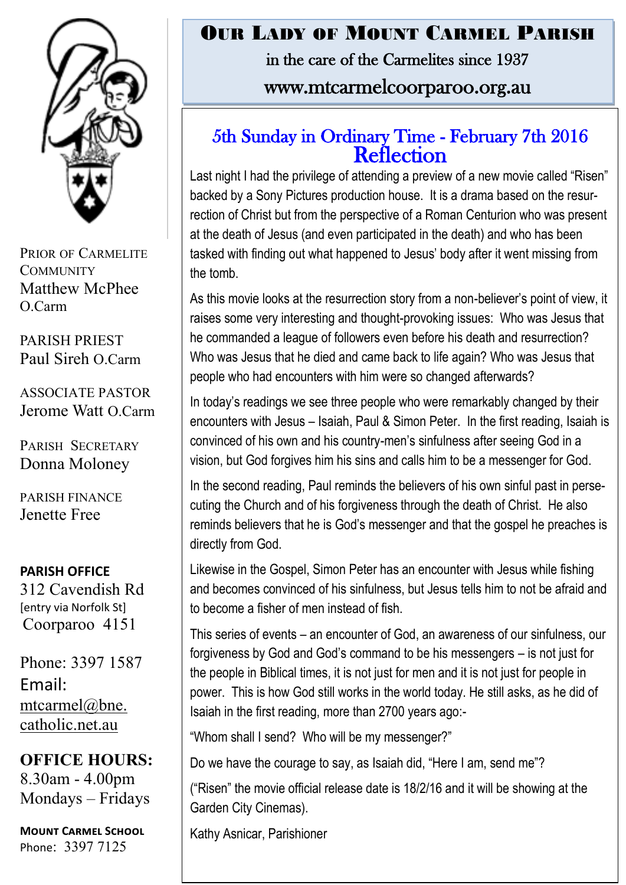

PRIOR OF CARMELITE **COMMUNITY** Matthew McPhee O.Carm

PARISH PRIEST Paul Sireh O.Carm

ASSOCIATE PASTOR Jerome Watt O.Carm

PARISH SECRETARY Donna Moloney

PARISH FINANCE Jenette Free

#### **PARISH OFFICE**

312 Cavendish Rd [entry via Norfolk St] Coorparoo 4151

Phone: 3397 1587 Email: mtcarmel@bne. [catholic.net.au](mailto:mtcarmel@bne.catholic.net.au)

**OFFICE HOURS:**  8.30am - 4.00pm Mondays – Fridays

**Mount Carmel School** Phone: 3397 7125

## OUR LADY OF MOUNT CARMEL PARISH in the care of the Carmelites since 1937 www.mtcarmelcoorparoo.org.au

#### 5th Sunday in Ordinary Time - February 7th 2016 **Reflection**

Last night I had the privilege of attending a preview of a new movie called "Risen" backed by a Sony Pictures production house. It is a drama based on the resurrection of Christ but from the perspective of a Roman Centurion who was present at the death of Jesus (and even participated in the death) and who has been tasked with finding out what happened to Jesus' body after it went missing from the tomb.

As this movie looks at the resurrection story from a non-believer's point of view, it raises some very interesting and thought-provoking issues: Who was Jesus that he commanded a league of followers even before his death and resurrection? Who was Jesus that he died and came back to life again? Who was Jesus that people who had encounters with him were so changed afterwards?

In today's readings we see three people who were remarkably changed by their encounters with Jesus – Isaiah, Paul & Simon Peter. In the first reading, Isaiah is convinced of his own and his country-men's sinfulness after seeing God in a vision, but God forgives him his sins and calls him to be a messenger for God.

In the second reading, Paul reminds the believers of his own sinful past in persecuting the Church and of his forgiveness through the death of Christ. He also reminds believers that he is God's messenger and that the gospel he preaches is directly from God.

Likewise in the Gospel, Simon Peter has an encounter with Jesus while fishing and becomes convinced of his sinfulness, but Jesus tells him to not be afraid and to become a fisher of men instead of fish.

This series of events – an encounter of God, an awareness of our sinfulness, our forgiveness by God and God's command to be his messengers – is not just for the people in Biblical times, it is not just for men and it is not just for people in power. This is how God still works in the world today. He still asks, as he did of Isaiah in the first reading, more than 2700 years ago:-

"Whom shall I send? Who will be my messenger?"

Do we have the courage to say, as Isaiah did, "Here I am, send me"?

("Risen" the movie official release date is 18/2/16 and it will be showing at the Garden City Cinemas).

Kathy Asnicar, Parishioner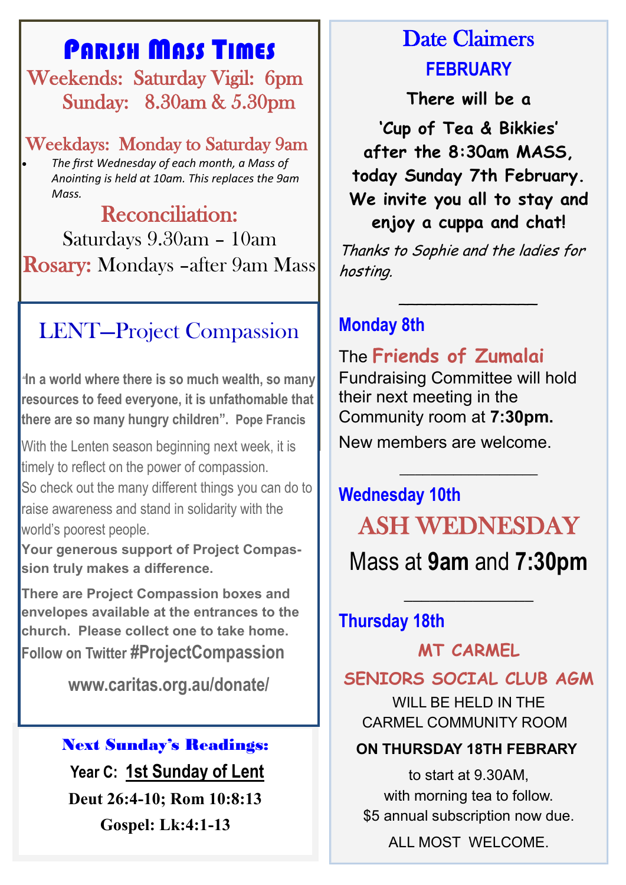## PARISH MASS TIMES

 Weekends: Saturday Vigil: 6pm Sunday: 8.30am & 5.30pm

Weekdays: Monday to Saturday 9am *The first Wednesday of each month, a Mass of Anointing is held at 10am. This replaces the 9am Mass.*

Reconciliation: Saturdays 9.30am – 10am Rosary: Mondays –after 9am Mass

# LENT—Project Compassion

*"***In a world where there is so much wealth, so many resources to feed everyone, it is unfathomable that there are so many hungry children". Pope Francis**

With the Lenten season beginning next week, it is timely to reflect on the power of compassion. So check out the many different things you can do to raise awareness and stand in solidarity with the world's poorest people.

**Your generous support of Project Compassion truly makes a difference.**

**There are Project Compassion boxes and envelopes available at the entrances to the church. Please collect one to take home. Follow on Twitter #ProjectCompassion** 

**www.caritas.org.au/donate/**

#### Next Sunday's Readings:

**Year C: 1st Sunday of Lent Deut 26:4-10; Rom 10:8:13 Gospel: Lk:4:1-13**

# Date Claimers **FEBRUARY**

**There will be a** 

**'Cup of Tea & Bikkies' after the 8:30am MASS, today Sunday 7th February. We invite you all to stay and enjoy a cuppa and chat!**

Thanks to Sophie and the ladies for hosting.

\_\_\_\_\_\_\_\_\_\_\_\_\_\_\_

## **Monday 8th**

The **Friends of Zumalai**  Fundraising Committee will hold their next meeting in the Community room at **7:30pm.**

New members are welcome.

# **Wednesday 10th** ASH WEDNESDAY

**\_\_\_\_\_\_\_\_\_\_\_\_\_\_\_\_\_\_**

Mass at **9am** and **7:30pm**

 $\overline{\phantom{a}}$  , where  $\overline{\phantom{a}}$ 

## **Thursday 18th**

**MT CARMEL** 

## **SENIORS SOCIAL CLUB AGM**

WILL BE HELD IN THE CARMEL COMMUNITY ROOM

#### **ON THURSDAY 18TH FEBRARY**

to start at 9.30AM, with morning tea to follow. \$5 annual subscription now due.

ALL MOST WELCOME.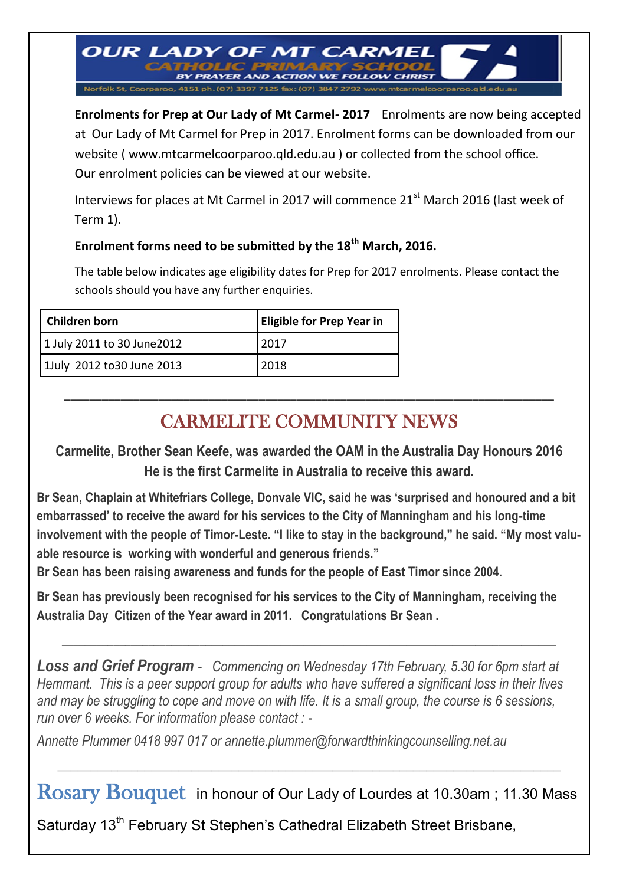Norfolk St, Coorparoo, 4151 ph. (07) 3397 7125 fax: (07) 3847 2792 ww **Enrolments for Prep at Our Lady of Mt Carmel- 2017** Enrolments are now being accepted at Our Lady of Mt Carmel for Prep in 2017. Enrolment forms can be downloaded from our website ( www.mtcarmelcoorparoo.qld.edu.au ) or collected from the school office. Our enrolment policies can be viewed at our website.

Interviews for places at Mt Carmel in 2017 will commence 21<sup>st</sup> March 2016 (last week of Term 1).

#### **Enrolment forms need to be submitted by the 18th March, 2016.**

**OUR LADY OF MT CARMEL** 

**PRAYER AND ACTION WE FOLLOT** 

The table below indicates age eligibility dates for Prep for 2017 enrolments. Please contact the schools should you have any further enquiries.

| Children born               | <b>Eligible for Prep Year in</b> |
|-----------------------------|----------------------------------|
| 1 July 2011 to 30 June 2012 | 2017                             |
| 1July 2012 to 30 June 2013  | 2018                             |

## CARMELITE COMMUNITY NEWS

\_\_\_\_\_\_\_\_\_\_\_\_\_\_\_\_\_\_\_\_\_\_\_\_\_\_\_\_\_\_\_\_\_\_\_\_\_\_\_\_\_\_\_\_\_\_\_\_\_\_\_\_\_\_\_\_\_\_\_\_\_\_\_\_\_\_\_\_\_\_\_\_\_\_\_\_\_\_

**Carmelite, Brother Sean Keefe, was awarded the OAM in the Australia Day Honours 2016 He is the first Carmelite in Australia to receive this award.**

**Br Sean, Chaplain at Whitefriars College, Donvale VIC, said he was 'surprised and honoured and a bit embarrassed' to receive the award for his services to the City of Manningham and his long-time involvement with the people of Timor-Leste. "I like to stay in the background," he said. "My most valuable resource is working with wonderful and generous friends."** 

**Br Sean has been raising awareness and funds for the people of East Timor since 2004.**

**Br Sean has previously been recognised for his services to the City of Manningham, receiving the Australia Day Citizen of the Year award in 2011. Congratulations Br Sean .**

 $\_$  , and the set of the set of the set of the set of the set of the set of the set of the set of the set of the set of the set of the set of the set of the set of the set of the set of the set of the set of the set of th

*Loss and Grief Program - Commencing on Wednesday 17th February, 5.30 for 6pm start at Hemmant. This is a peer support group for adults who have suffered a significant loss in their lives and may be struggling to cope and move on with life. It is a small group, the course is 6 sessions, run over 6 weeks. For information please contact : -*

*Annette Plummer 0418 997 017 or annette.plummer@forwardthinkingcounselling.net.au*

Rosary Bouquet in honour of Our Lady of Lourdes at 10.30am ; 11.30 Mass

*\_\_\_\_\_\_\_\_\_\_\_\_\_\_\_\_\_\_\_\_\_\_\_\_\_\_\_\_\_\_\_\_\_\_\_\_\_\_\_\_\_\_\_\_\_\_\_\_\_\_\_\_\_\_\_\_\_\_\_\_\_\_\_\_\_\_\_\_\_\_\_\_\_\_\_*

Saturday 13<sup>th</sup> February St Stephen's Cathedral Elizabeth Street Brisbane,